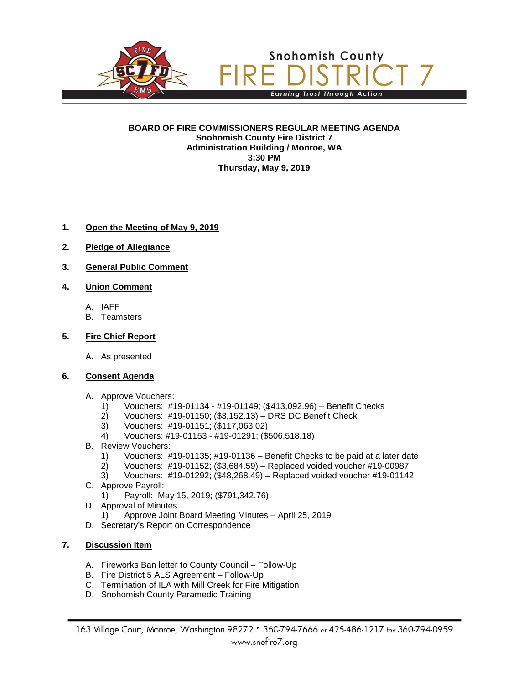

**BOARD OF FIRE COMMISSIONERS REGULAR MEETING AGENDA Snohomish County Fire District 7 Administration Building / Monroe, WA 3:30 PM Thursday, May 9, 2019**

## **1. Open the Meeting of May 9, 2019**

- **2. Pledge of Allegiance**
- **3. General Public Comment**
- **4. Union Comment**
	- A. IAFF
	- B. Teamsters

### **5. Fire Chief Report**

A. As presented

#### **6. Consent Agenda**

- A. Approve Vouchers:
	- 1) Vouchers: #19-01134 #19-01149; (\$413,092.96) Benefit Checks
	- 2) Vouchers: #19-01150; (\$3,152.13) DRS DC Benefit Check
	- 3) Vouchers: #19-01151; (\$117,063.02)
	- 4) Vouchers: #19-01153 #19-01291; (\$506,518.18)
- B. Review Vouchers:
	- 1) Vouchers: #19-01135; #19-01136 Benefit Checks to be paid at a later date
	- 2) Vouchers: #19-01152; (\$3,684.59) Replaced voided voucher #19-00987
	- 3) Vouchers: #19-01292; (\$48,268.49) Replaced voided voucher #19-01142
- C. Approve Payroll:
	- 1) Payroll: May 15, 2019; (\$791,342.76)
- D. Approval of Minutes
	- 1) Approve Joint Board Meeting Minutes April 25, 2019
- D. Secretary's Report on Correspondence

# **7. Discussion Item**

- A. Fireworks Ban letter to County Council Follow-Up
- B. Fire District 5 ALS Agreement Follow-Up
- C. Termination of ILA with Mill Creek for Fire Mitigation
- D. Snohomish County Paramedic Training